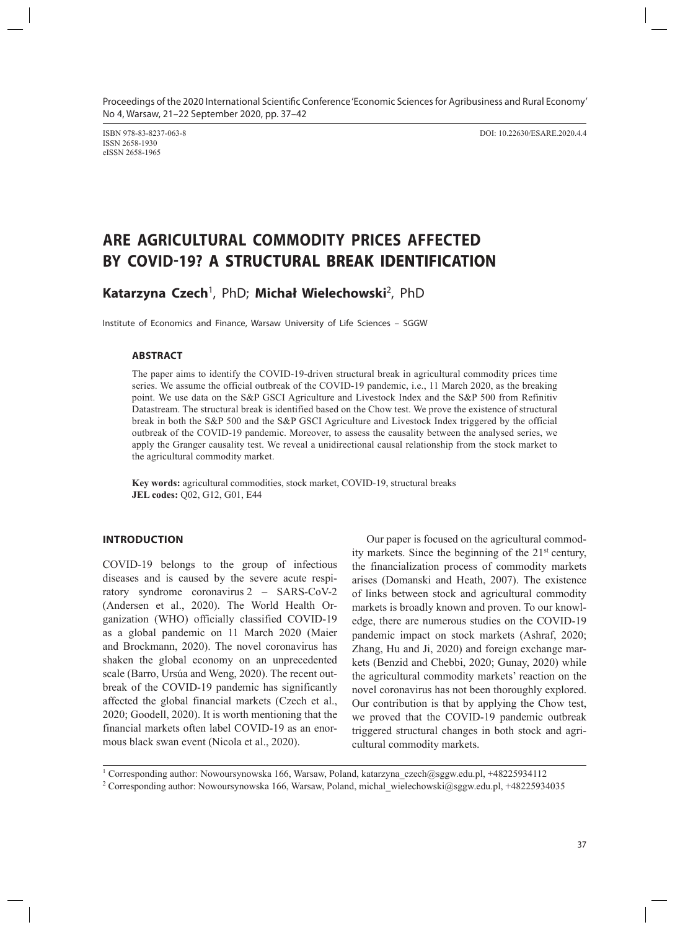Proceedings of the 2020 International Scientific Conference 'Economic Sciences for Agribusiness and Rural Economy' No 4, Warsaw, 21–22 September 2020, pp. 37–42

ISSN 2658-1930 eISSN 2658-1965

ISBN 978-83-8237-063-8 DOI: 10.22630/ESARE.2020.4.4

# **ARE AGRICULTURAL COMMODITY PRICES AFFECTED BY COVID-19? A STRUCTURAL BREAK IDENTIFICATION**

# **Katarzyna Czech**<sup>1</sup> , PhD; **Michał Wielechowski**<sup>2</sup> , PhD

Institute of Economics and Finance, Warsaw University of Life Sciences – SGGW

# **ABSTRACT**

The paper aims to identify the COVID-19-driven structural break in agricultural commodity prices time series. We assume the official outbreak of the COVID-19 pandemic, i.e., 11 March 2020, as the breaking point. We use data on the S&P GSCI Agriculture and Livestock Index and the S&P 500 from Refinitiv Datastream. The structural break is identified based on the Chow test. We prove the existence of structural break in both the S&P 500 and the S&P GSCI Agriculture and Livestock Index triggered by the official outbreak of the COVID-19 pandemic. Moreover, to assess the causality between the analysed series, we apply the Granger causality test. We reveal a unidirectional causal relationship from the stock market to the agricultural commodity market.

**Key words:** agricultural commodities, stock market, COVID-19, structural breaks **JEL codes:** Q02, G12, G01, E44

# **INTRODUCTION**

COVID-19 belongs to the group of infectious diseases and is caused by the severe acute respiratory syndrome coronavirus 2 – SARS-CoV-2 (Andersen et al., 2020). The World Health Organization (WHO) officially classified COVID-19 as a global pandemic on 11 March 2020 (Maier and Brockmann, 2020). The novel coronavirus has shaken the global economy on an unprecedented scale (Barro, Ursúa and Weng, 2020). The recent outbreak of the COVID-19 pandemic has significantly affected the global financial markets (Czech et al., 2020; Goodell, 2020). It is worth mentioning that the financial markets often label COVID-19 as an enormous black swan event (Nicola et al., 2020).

Our paper is focused on the agricultural commodity markets. Since the beginning of the 21<sup>st</sup> century, the financialization process of commodity markets arises (Domanski and Heath, 2007). The existence of links between stock and agricultural commodity markets is broadly known and proven. To our knowledge, there are numerous studies on the COVID-19 pandemic impact on stock markets (Ashraf, 2020; Zhang, Hu and Ji, 2020) and foreign exchange markets (Benzid and Chebbi, 2020; Gunay, 2020) while the agricultural commodity markets' reaction on the novel coronavirus has not been thoroughly explored. Our contribution is that by applying the Chow test, we proved that the COVID-19 pandemic outbreak triggered structural changes in both stock and agricultural commodity markets.

<sup>1</sup> Corresponding author: Nowoursynowska 166, Warsaw, Poland, katarzyna\_czech@sggw.edu.pl, +48225934112

<sup>2</sup> Corresponding author: Nowoursynowska 166, Warsaw, Poland, michal\_wielechowski@sggw.edu.pl, +48225934035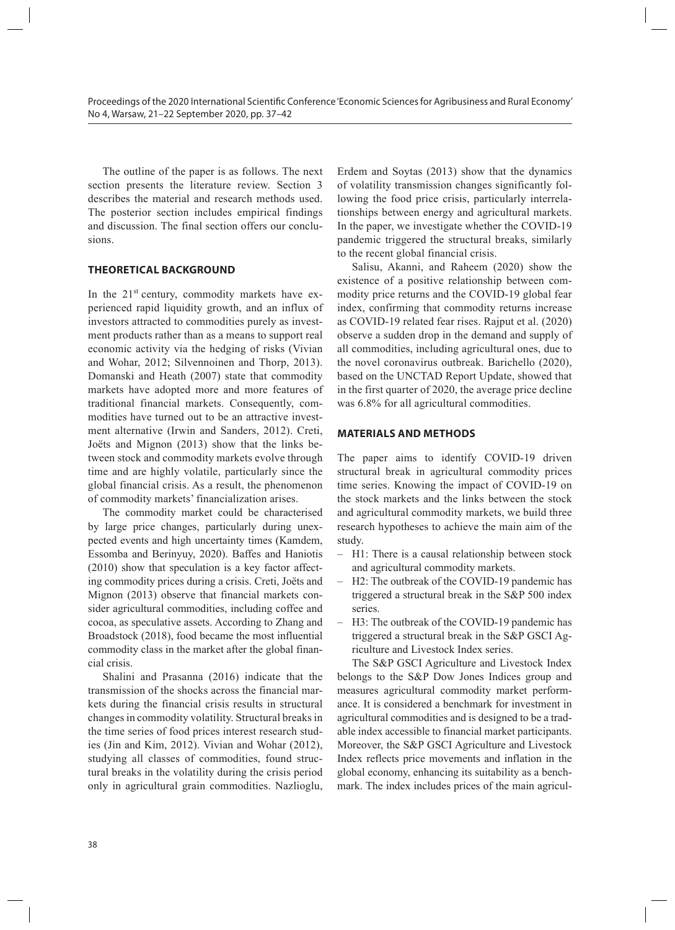The outline of the paper is as follows. The next section presents the literature review. Section 3 describes the material and research methods used. The posterior section includes empirical findings and discussion. The final section offers our conclusions.

# **THEORETICAL BACKGROUND**

In the  $21<sup>st</sup>$  century, commodity markets have experienced rapid liquidity growth, and an influx of investors attracted to commodities purely as investment products rather than as a means to support real economic activity via the hedging of risks (Vivian and Wohar, 2012; Silvennoinen and Thorp, 2013). Domanski and Heath (2007) state that commodity markets have adopted more and more features of traditional financial markets. Consequently, commodities have turned out to be an attractive investment alternative (Irwin and Sanders, 2012). Creti, Joëts and Mignon (2013) show that the links between stock and commodity markets evolve through time and are highly volatile, particularly since the global financial crisis. As a result, the phenomenon of commodity markets' financialization arises.

The commodity market could be characterised by large price changes, particularly during unexpected events and high uncertainty times (Kamdem, Essomba and Berinyuy, 2020). Baffes and Haniotis (2010) show that speculation is a key factor affecting commodity prices during a crisis. Creti, Joëts and Mignon (2013) observe that financial markets consider agricultural commodities, including coffee and cocoa, as speculative assets. According to Zhang and Broadstock (2018), food became the most influential commodity class in the market after the global financial crisis.

Shalini and Prasanna (2016) indicate that the transmission of the shocks across the financial markets during the financial crisis results in structural changes in commodity volatility. Structural breaks in the time series of food prices interest research studies (Jin and Kim, 2012). Vivian and Wohar (2012), studying all classes of commodities, found structural breaks in the volatility during the crisis period only in agricultural grain commodities. Nazlioglu,

Erdem and Soytas (2013) show that the dynamics of volatility transmission changes significantly following the food price crisis, particularly interrelationships between energy and agricultural markets. In the paper, we investigate whether the COVID-19 pandemic triggered the structural breaks, similarly to the recent global financial crisis.

Salisu, Akanni, and Raheem (2020) show the existence of a positive relationship between commodity price returns and the COVID-19 global fear index, confirming that commodity returns increase as COVID-19 related fear rises. Rajput et al. (2020) observe a sudden drop in the demand and supply of all commodities, including agricultural ones, due to the novel coronavirus outbreak. Barichello (2020), based on the UNCTAD Report Update, showed that in the first quarter of 2020, the average price decline was 6.8% for all agricultural commodities.

# **MATERIALS AND METHODS**

The paper aims to identify COVID-19 driven structural break in agricultural commodity prices time series. Knowing the impact of COVID-19 on the stock markets and the links between the stock and agricultural commodity markets, we build three research hypotheses to achieve the main aim of the study.

- H1: There is a causal relationship between stock and agricultural commodity markets.
- H2: The outbreak of the COVID-19 pandemic has triggered a structural break in the S&P 500 index series.
- H3: The outbreak of the COVID-19 pandemic has triggered a structural break in the S&P GSCI Agriculture and Livestock Index series.

The S&P GSCI Agriculture and Livestock Index belongs to the S&P Dow Jones Indices group and measures agricultural commodity market performance. It is considered a benchmark for investment in agricultural commodities and is designed to be a tradable index accessible to financial market participants. Moreover, the S&P GSCI Agriculture and Livestock Index reflects price movements and inflation in the global economy, enhancing its suitability as a benchmark. The index includes prices of the main agricul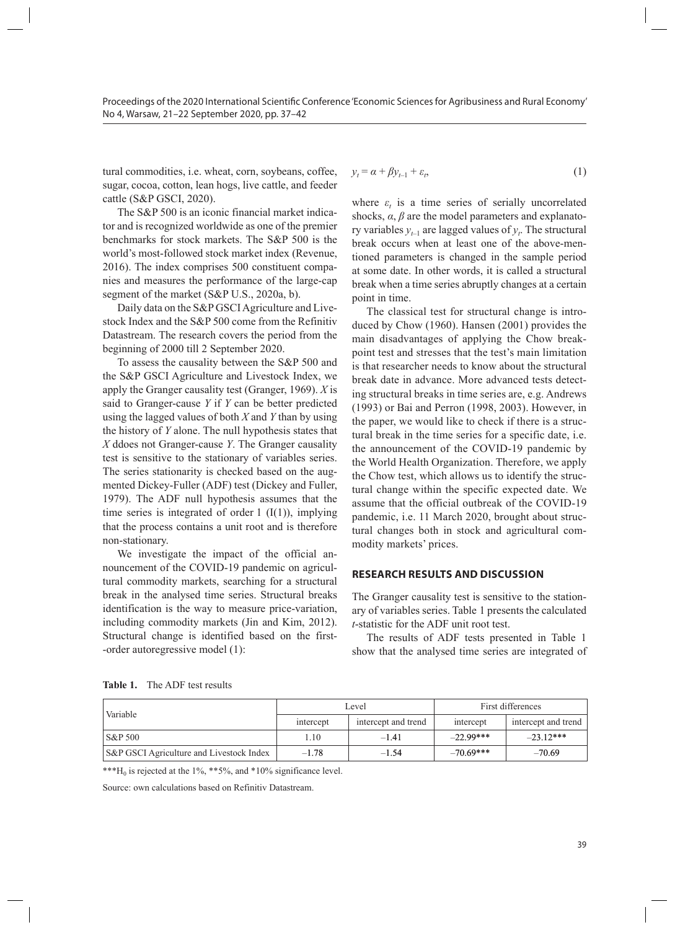tural commodities, i.e. wheat, corn, soybeans, coffee, sugar, cocoa, cotton, lean hogs, live cattle, and feeder cattle (S&P GSCI, 2020).

The S&P 500 is an iconic financial market indicator and is recognized worldwide as one of the premier benchmarks for stock markets. The S&P 500 is the world's most-followed stock market index (Revenue, 2016). The index comprises 500 constituent companies and measures the performance of the large-cap segment of the market (S&P U.S., 2020a, b).

Daily data on the S&P GSCI Agriculture and Livestock Index and the S&P 500 come from the Refinitiv Datastream. The research covers the period from the beginning of 2000 till 2 September 2020.

To assess the causality between the S&P 500 and the S&P GSCI Agriculture and Livestock Index, we apply the Granger causality test (Granger, 1969). *X* is said to Granger-cause *Y* if *Y* can be better predicted using the lagged values of both *X* and *Y* than by using the history of *Y* alone. The null hypothesis states that *X* ddoes not Granger-cause *Y*. The Granger causality test is sensitive to the stationary of variables series. The series stationarity is checked based on the augmented Dickey-Fuller (ADF) test (Dickey and Fuller, 1979). The ADF null hypothesis assumes that the time series is integrated of order  $1$  (I(1)), implying that the process contains a unit root and is therefore non-stationary.

We investigate the impact of the official announcement of the COVID-19 pandemic on agricultural commodity markets, searching for a structural break in the analysed time series. Structural breaks identification is the way to measure price-variation, including commodity markets (Jin and Kim, 2012). Structural change is identified based on the first- -order autoregressive model (1):

$$
y_t = \alpha + \beta y_{t-1} + \varepsilon_t, \tag{1}
$$

where  $\varepsilon_t$  is a time series of serially uncorrelated shocks,  $\alpha$ ,  $\beta$  are the model parameters and explanatory variables  $y_{t-1}$  are lagged values of  $y_t$ . The structural break occurs when at least one of the above-mentioned parameters is changed in the sample period at some date. In other words, it is called a structural break when a time series abruptly changes at a certain point in time.

The classical test for structural change is introduced by Chow (1960). Hansen (2001) provides the main disadvantages of applying the Chow breakpoint test and stresses that the test's main limitation is that researcher needs to know about the structural break date in advance. More advanced tests detecting structural breaks in time series are, e.g. Andrews (1993) or Bai and Perron (1998, 2003). However, in the paper, we would like to check if there is a structural break in the time series for a specific date, i.e. the announcement of the COVID-19 pandemic by the World Health Organization. Therefore, we apply the Chow test, which allows us to identify the structural change within the specific expected date. We assume that the official outbreak of the COVID-19 pandemic, i.e. 11 March 2020, brought about structural changes both in stock and agricultural commodity markets' prices.

### **RESEARCH RESULTS AND DISCUSSION**

The Granger causality test is sensitive to the stationary of variables series. Table 1 presents the calculated *t*-statistic for the ADF unit root test.

The results of ADF tests presented in Table 1 show that the analysed time series are integrated of

**Table 1.** The ADF test results

| Variable                                 | Level     |                     | First differences                |            |
|------------------------------------------|-----------|---------------------|----------------------------------|------------|
|                                          | intercept | intercept and trend | intercept and trend<br>intercept |            |
| $\vert$ S&P 500                          | L 10      | $-141$              | $-22.99***$                      | $-2312***$ |
| S&P GSCI Agriculture and Livestock Index | $-1.78$   | $-1.54$             | $-70.69***$                      | $-70.69$   |

\*\*\* $H_0$  is rejected at the 1%, \*\*5%, and \*10% significance level.

Source: own calculations based on Refinitiv Datastream.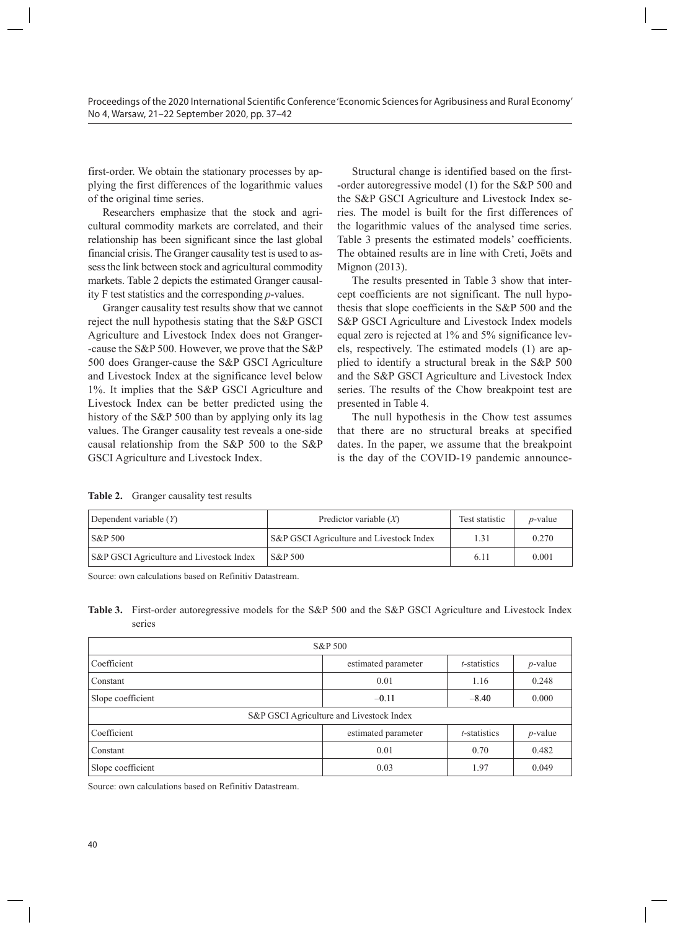first-order. We obtain the stationary processes by applying the first differences of the logarithmic values of the original time series.

Researchers emphasize that the stock and agricultural commodity markets are correlated, and their relationship has been significant since the last global financial crisis. The Granger causality test is used to assess the link between stock and agricultural commodity markets. Table 2 depicts the estimated Granger causality F test statistics and the corresponding *p*-values.

Granger causality test results show that we cannot reject the null hypothesis stating that the S&P GSCI Agriculture and Livestock Index does not Granger- -cause the S&P 500. However, we prove that the S&P 500 does Granger-cause the S&P GSCI Agriculture and Livestock Index at the significance level below 1%. It implies that the S&P GSCI Agriculture and Livestock Index can be better predicted using the history of the S&P 500 than by applying only its lag values. The Granger causality test reveals a one-side causal relationship from the S&P 500 to the S&P GSCI Agriculture and Livestock Index.

Structural change is identified based on the first- -order autoregressive model (1) for the S&P 500 and the S&P GSCI Agriculture and Livestock Index series. The model is built for the first differences of the logarithmic values of the analysed time series. Table 3 presents the estimated models' coefficients. The obtained results are in line with Creti, Joëts and Mignon (2013).

The results presented in Table 3 show that intercept coefficients are not significant. The null hypothesis that slope coefficients in the S&P 500 and the S&P GSCI Agriculture and Livestock Index models equal zero is rejected at 1% and 5% significance levels, respectively. The estimated models (1) are applied to identify a structural break in the S&P 500 and the S&P GSCI Agriculture and Livestock Index series. The results of the Chow breakpoint test are presented in Table 4.

The null hypothesis in the Chow test assumes that there are no structural breaks at specified dates. In the paper, we assume that the breakpoint is the day of the COVID-19 pandemic announce-

**Table 2.** Granger causality test results

| Dependent variable $(Y)$                 | Predictor variable $(X)$                 | Test statistic | <i>p</i> -value |
|------------------------------------------|------------------------------------------|----------------|-----------------|
| $S\&P 500$                               | S&P GSCI Agriculture and Livestock Index | 1.31           | 0.270           |
| S&P GSCI Agriculture and Livestock Index | S&P 500                                  | $6.1^{\circ}$  | 0.001           |

Source: own calculations based on Refinitiv Datastream.

**Table 3.** First-order autoregressive models for the S&P 500 and the S&P GSCI Agriculture and Livestock Index series

| S&P 500                                  |                     |                 |            |  |
|------------------------------------------|---------------------|-----------------|------------|--|
| Coefficient                              | estimated parameter | $t$ -statistics | $p$ -value |  |
| Constant                                 | 0.01                | 1.16            | 0.248      |  |
| Slope coefficient                        | $-0.11$             | $-8.40$         | 0.000      |  |
| S&P GSCI Agriculture and Livestock Index |                     |                 |            |  |
| Coefficient                              | estimated parameter | $t$ -statistics | $p$ -value |  |
| Constant                                 | 0.01                | 0.70            | 0.482      |  |
| Slope coefficient                        | 0.03                | 1.97            | 0.049      |  |

Source: own calculations based on Refinitiv Datastream.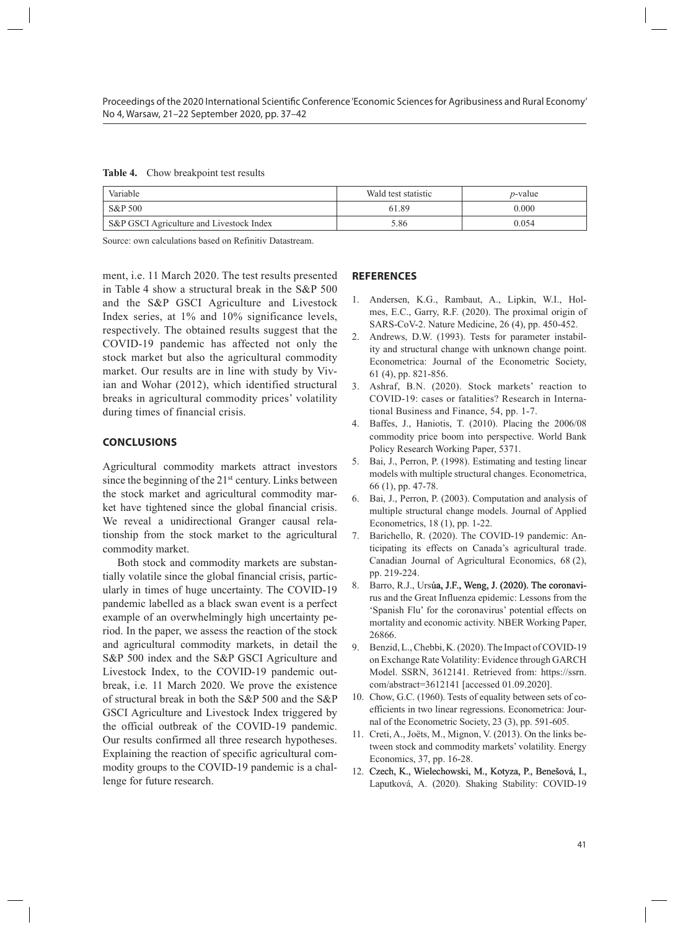| Table 4. |  | Chow breakpoint test results |  |  |
|----------|--|------------------------------|--|--|
|----------|--|------------------------------|--|--|

| Variable                                 | Wald test statistic | $p$ -value |
|------------------------------------------|---------------------|------------|
| S&P 500                                  | 61.89               | 0.000      |
| S&P GSCI Agriculture and Livestock Index | 5.86                | 0.054      |

Source: own calculations based on Refinitiv Datastream.

ment, i.e. 11 March 2020. The test results presented in Table 4 show a structural break in the S&P 500 and the S&P GSCI Agriculture and Livestock Index series, at 1% and 10% significance levels, respectively. The obtained results suggest that the COVID-19 pandemic has affected not only the stock market but also the agricultural commodity market. Our results are in line with study by Vivian and Wohar (2012), which identified structural breaks in agricultural commodity prices' volatility during times of financial crisis.

# **CONCLUSIONS**

Agricultural commodity markets attract investors since the beginning of the  $21<sup>st</sup>$  century. Links between the stock market and agricultural commodity market have tightened since the global financial crisis. We reveal a unidirectional Granger causal relationship from the stock market to the agricultural commodity market.

Both stock and commodity markets are substantially volatile since the global financial crisis, particularly in times of huge uncertainty. The COVID-19 pandemic labelled as a black swan event is a perfect example of an overwhelmingly high uncertainty period. In the paper, we assess the reaction of the stock and agricultural commodity markets, in detail the S&P 500 index and the S&P GSCI Agriculture and Livestock Index, to the COVID-19 pandemic outbreak, i.e. 11 March 2020. We prove the existence of structural break in both the S&P 500 and the S&P GSCI Agriculture and Livestock Index triggered by the official outbreak of the COVID-19 pandemic. Our results confirmed all three research hypotheses. Explaining the reaction of specific agricultural commodity groups to the COVID-19 pandemic is a challenge for future research.

# **REFERENCES**

- 1. Andersen, K.G., Rambaut, A., Lipkin, W.I., Holmes, E.C., Garry, R.F. (2020). The proximal origin of SARS-CoV-2. Nature Medicine, 26 (4), pp. 450-452.
- 2. Andrews, D.W. (1993). Tests for parameter instability and structural change with unknown change point. Econometrica: Journal of the Econometric Society, 61 (4), pp. 821-856.
- 3. Ashraf, B.N. (2020). Stock markets' reaction to COVID-19: cases or fatalities? Research in International Business and Finance, 54, pp. 1-7.
- 4. Baffes, J., Haniotis, T. (2010). Placing the 2006/08 commodity price boom into perspective. World Bank Policy Research Working Paper, 5371.
- 5. Bai, J., Perron, P. (1998). Estimating and testing linear models with multiple structural changes. Econometrica, 66 (1), pp. 47-78.
- 6. Bai, J., Perron, P. (2003). Computation and analysis of multiple structural change models. Journal of Applied Econometrics, 18 (1), pp. 1-22.
- 7. Barichello, R. (2020). The COVID-19 pandemic: Anticipating its effects on Canada's agricultural trade. Canadian Journal of Agricultural Economics, 68 (2), pp. 219-224.
- 8. Barro, R.J., Ursúa, J.F., Weng, J. (2020). The coronavirus and the Great Influenza epidemic: Lessons from the 'Spanish Flu' for the coronavirus' potential effects on mortality and economic activity. NBER Working Paper, 26866.
- 9. Benzid, L., Chebbi, K. (2020). The Impact of COVID-19 on Exchange Rate Volatility: Evidence through GARCH Model. SSRN, 3612141. Retrieved from: https://ssrn. com/abstract=3612141 [accessed 01.09.2020].
- 10. Chow, G.C. (1960). Tests of equality between sets of coefficients in two linear regressions. Econometrica: Journal of the Econometric Society, 23 (3), pp. 591-605.
- 11. Creti, A., Joëts, M., Mignon, V. (2013). On the links between stock and commodity markets' volatility. Energy Economics, 37, pp. 16-28.
- 12. Czech, K., Wielechowski, M., Kotyza, P., Benešová, I., Laputková, A. (2020). Shaking Stability: COVID-19